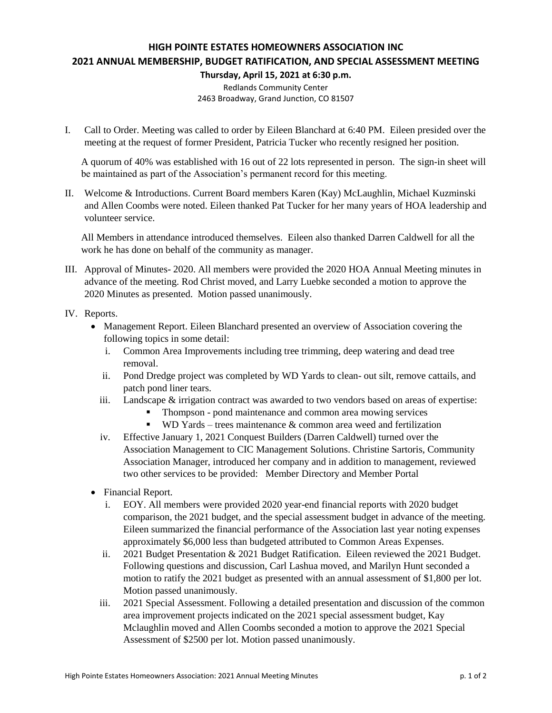## **HIGH POINTE ESTATES HOMEOWNERS ASSOCIATION INC 2021 ANNUAL MEMBERSHIP, BUDGET RATIFICATION, AND SPECIAL ASSESSMENT MEETING Thursday, April 15, 2021 at 6:30 p.m.**

Redlands Community Center 2463 Broadway, Grand Junction, CO 81507

I. Call to Order. Meeting was called to order by Eileen Blanchard at 6:40 PM. Eileen presided over the meeting at the request of former President, Patricia Tucker who recently resigned her position.

A quorum of 40% was established with 16 out of 22 lots represented in person. The sign-in sheet will be maintained as part of the Association's permanent record for this meeting.

II. Welcome & Introductions. Current Board members Karen (Kay) McLaughlin, Michael Kuzminski and Allen Coombs were noted. Eileen thanked Pat Tucker for her many years of HOA leadership and volunteer service.

All Members in attendance introduced themselves. Eileen also thanked Darren Caldwell for all the work he has done on behalf of the community as manager.

III. Approval of Minutes- 2020. All members were provided the 2020 HOA Annual Meeting minutes in advance of the meeting. Rod Christ moved, and Larry Luebke seconded a motion to approve the 2020 Minutes as presented. Motion passed unanimously.

## IV. Reports.

- Management Report. Eileen Blanchard presented an overview of Association covering the following topics in some detail:
	- i. Common Area Improvements including tree trimming, deep watering and dead tree removal.
	- ii. Pond Dredge project was completed by WD Yards to clean- out silt, remove cattails, and patch pond liner tears.
	- iii. Landscape & irrigation contract was awarded to two vendors based on areas of expertise:
		- Thompson pond maintenance and common area mowing services
		- **WD** Yards trees maintenance  $\&$  common area weed and fertilization
	- iv. Effective January 1, 2021 Conquest Builders (Darren Caldwell) turned over the Association Management to CIC Management Solutions. Christine Sartoris, Community Association Manager, introduced her company and in addition to management, reviewed two other services to be provided: Member Directory and Member Portal
- Financial Report.
	- i. EOY. All members were provided 2020 year-end financial reports with 2020 budget comparison, the 2021 budget, and the special assessment budget in advance of the meeting. Eileen summarized the financial performance of the Association last year noting expenses approximately \$6,000 less than budgeted attributed to Common Areas Expenses.
	- ii. 2021 Budget Presentation & 2021 Budget Ratification. Eileen reviewed the 2021 Budget. Following questions and discussion, Carl Lashua moved, and Marilyn Hunt seconded a motion to ratify the 2021 budget as presented with an annual assessment of \$1,800 per lot. Motion passed unanimously.
	- iii. 2021 Special Assessment. Following a detailed presentation and discussion of the common area improvement projects indicated on the 2021 special assessment budget, Kay Mclaughlin moved and Allen Coombs seconded a motion to approve the 2021 Special Assessment of \$2500 per lot. Motion passed unanimously.